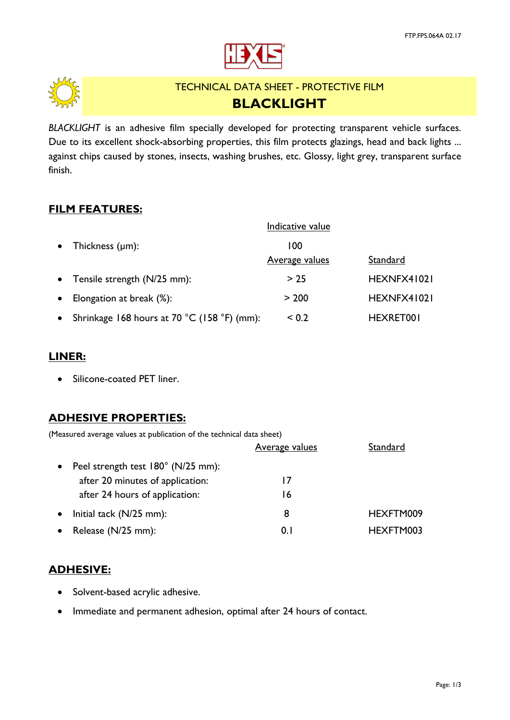



# TECHNICAL DATA SHEET - PROTECTIVE FILM **BLACKLIGHT**

*BLACKLIGHT* is an adhesive film specially developed for protecting transparent vehicle surfaces. Due to its excellent shock-absorbing properties, this film protects glazings, head and back lights ... against chips caused by stones, insects, washing brushes, etc. Glossy, light grey, transparent surface finish.

#### **FILM FEATURES:**

|           |                                             | Indicative value      |             |
|-----------|---------------------------------------------|-----------------------|-------------|
| $\bullet$ | Thickness $(\mu m)$ :                       | 100                   |             |
|           |                                             | <b>Average values</b> | Standard    |
| $\bullet$ | Tensile strength (N/25 mm):                 | > 25                  | HEXNFX41021 |
| $\bullet$ | Elongation at break (%):                    | > 200                 | HEXNFX41021 |
|           | Shrinkage 168 hours at 70 °C (158 °F) (mm): | < 0.2                 | HEXRET001   |

### **LINER:**

• Silicone-coated PET liner.

#### **ADHESIVE PROPERTIES:**

(Measured average values at publication of the technical data sheet)

|                                    | <b>Average values</b> | Standard  |
|------------------------------------|-----------------------|-----------|
| Peel strength test 180° (N/25 mm): |                       |           |
| after 20 minutes of application:   | 17                    |           |
| after 24 hours of application:     | 16                    |           |
| Initial tack $(N/25$ mm):          | 8                     | HEXFTM009 |
| Release (N/25 mm):                 | 0. I                  | HEXFTM003 |

# **ADHESIVE:**

- Solvent-based acrylic adhesive.
- Immediate and permanent adhesion, optimal after 24 hours of contact.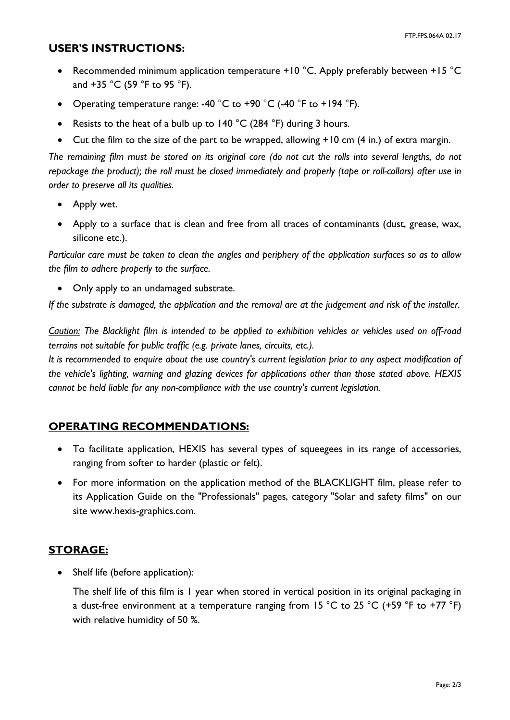#### **USER'S INSTRUCTIONS:**

- Recommended minimum application temperature +10 °C. Apply preferably between +15 °C and +35 °C (59 °F to 95 °F).
- Operating temperature range: -40 °C to +90 °C (-40 °F to +194 °F).
- Resists to the heat of a bulb up to 140 °C (284 °F) during 3 hours.
- Cut the film to the size of the part to be wrapped, allowing +10 cm (4 in.) of extra margin.

*The remaining film must be stored on its original core (do not cut the rolls into several lengths, do not repackage the product); the roll must be closed immediately and properly (tape or roll-collars) after use in order to preserve all its qualities.*

- Apply wet.
- Apply to a surface that is clean and free from all traces of contaminants (dust, grease, wax, silicone etc.).

*Particular care must be taken to clean the angles and periphery of the application surfaces so as to allow the film to adhere properly to the surface.*

• Only apply to an undamaged substrate.

*If the substrate is damaged, the application and the removal are at the judgement and risk of the installer.*

*Caution: The Blacklight film is intended to be applied to exhibition vehicles or vehicles used on off-road terrains not suitable for public traffic (e.g. private lanes, circuits, etc.).*

*It is recommended to enquire about the use country's current legislation prior to any aspect modification of the vehicle's lighting, warning and glazing devices for applications other than those stated above. HEXIS cannot be held liable for any non-compliance with the use country's current legislation.*

# **OPERATING RECOMMENDATIONS:**

- To facilitate application, HEXIS has several types of squeegees in its range of accessories, ranging from softer to harder (plastic or felt).
- For more information on the application method of the BLACKLIGHT film, please refer to its Application Guide on the "Professionals" pages, category "Solar and safety films" on our site www.hexis-graphics.com.

# **STORAGE:**

• Shelf life (before application):

The shelf life of this film is 1 year when stored in vertical position in its original packaging in a dust-free environment at a temperature ranging from 15 °C to 25 °C (+59 °F to +77 °F) with relative humidity of 50 %.